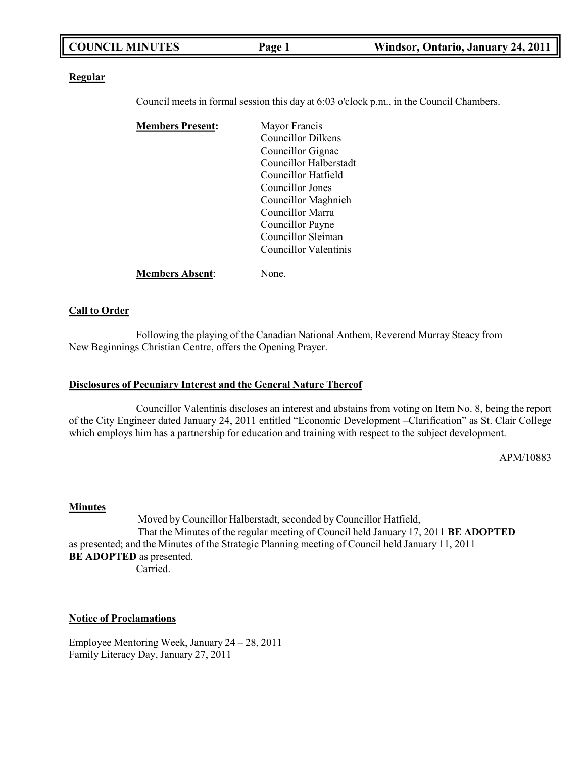| <b>COUNCIL MINUTES</b> | Page 1 | Windsor, Ontario, January 24, 2011 |
|------------------------|--------|------------------------------------|
|                        |        |                                    |

#### **Regular**

Council meets in formal session this day at 6:03 o'clock p.m., in the Council Chambers.

| <b>Members Present:</b> | Mayor Francis          |
|-------------------------|------------------------|
|                         | Councillor Dilkens     |
|                         | Councillor Gignac      |
|                         | Councillor Halberstadt |
|                         | Councillor Hatfield    |
|                         | Councillor Jones       |
|                         | Councillor Maghnieh    |
|                         | Councillor Marra       |
|                         | Councillor Payne       |
|                         | Councillor Sleiman     |
|                         | Councillor Valentinis  |
| <b>Members Absent:</b>  | None.                  |

#### **Call to Order**

Following the playing of the Canadian National Anthem, Reverend Murray Steacy from New Beginnings Christian Centre, offers the Opening Prayer.

#### **Disclosures of Pecuniary Interest and the General Nature Thereof**

Councillor Valentinis discloses an interest and abstains from voting on Item No. 8, being the report of the City Engineer dated January 24, 2011 entitled "Economic Development –Clarification" as St. Clair College which employs him has a partnership for education and training with respect to the subject development.

APM/10883

#### **Minutes**

Moved by Councillor Halberstadt, seconded by Councillor Hatfield, That the Minutes of the regular meeting of Council held January 17, 2011 **BE ADOPTED** as presented; and the Minutes of the Strategic Planning meeting of Council held January 11, 2011 **BE ADOPTED** as presented. Carried.

#### **Notice of Proclamations**

Employee Mentoring Week, January 24 – 28, 2011 Family Literacy Day, January 27, 2011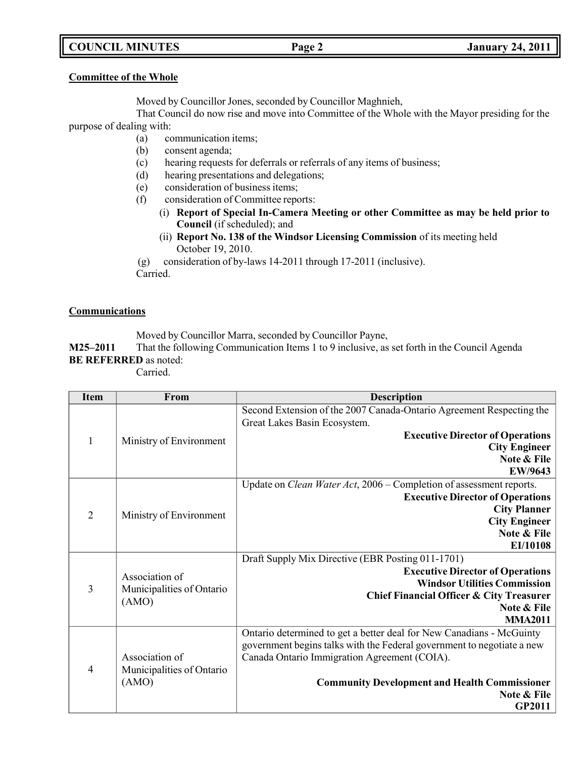# **COUNCIL MINUTES Page 2 January 24, 2011**

#### **Committee of the Whole**

Moved by Councillor Jones, seconded by Councillor Maghnieh,

That Council do now rise and move into Committee of the Whole with the Mayor presiding for the purpose of dealing with:

- (a) communication items;
- (b) consent agenda;
- (c) hearing requests for deferrals or referrals of any items of business;
- (d) hearing presentations and delegations;
- (e) consideration of business items;
- (f) consideration of Committee reports:
	- (i) **Report of Special In-Camera Meeting or other Committee as may be held prior to Council** (if scheduled); and
	- (ii) **Report No. 138 of the Windsor Licensing Commission** of its meeting held October 19, 2010.

(g) consideration of by-laws 14-2011 through 17-2011 (inclusive). Carried.

### **Communications**

Moved by Councillor Marra, seconded by Councillor Payne,

**M25–2011** That the following Communication Items 1 to 9 inclusive, as set forth in the Council Agenda **BE REFERRED** as noted:

Carried.

| <b>Item</b>    | From                      | <b>Description</b>                                                                                   |
|----------------|---------------------------|------------------------------------------------------------------------------------------------------|
|                |                           | Second Extension of the 2007 Canada-Ontario Agreement Respecting the<br>Great Lakes Basin Ecosystem. |
|                |                           | <b>Executive Director of Operations</b>                                                              |
| 1              | Ministry of Environment   | <b>City Engineer</b>                                                                                 |
|                |                           | Note & File                                                                                          |
|                |                           | EW/9643                                                                                              |
|                |                           | Update on Clean Water Act, 2006 – Completion of assessment reports.                                  |
|                |                           | <b>Executive Director of Operations</b>                                                              |
| $\overline{2}$ | Ministry of Environment   | <b>City Planner</b>                                                                                  |
|                |                           | <b>City Engineer</b>                                                                                 |
|                |                           | Note & File                                                                                          |
|                |                           | EI/10108                                                                                             |
|                |                           | Draft Supply Mix Directive (EBR Posting 011-1701)                                                    |
|                | Association of            | <b>Executive Director of Operations</b><br><b>Windsor Utilities Commission</b>                       |
| $\overline{3}$ | Municipalities of Ontario | <b>Chief Financial Officer &amp; City Treasurer</b>                                                  |
|                | (AMO)                     | Note & File                                                                                          |
|                |                           | <b>MMA2011</b>                                                                                       |
|                |                           | Ontario determined to get a better deal for New Canadians - McGuinty                                 |
|                |                           | government begins talks with the Federal government to negotiate a new                               |
|                | Association of            | Canada Ontario Immigration Agreement (COIA).                                                         |
| $\overline{4}$ | Municipalities of Ontario |                                                                                                      |
|                | (AMO)                     | <b>Community Development and Health Commissioner</b>                                                 |
|                |                           | Note & File                                                                                          |
|                |                           | <b>GP2011</b>                                                                                        |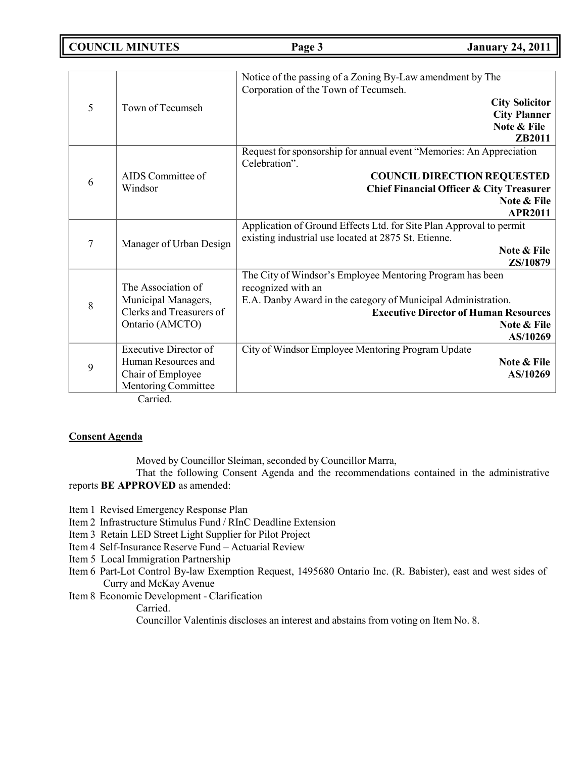**COUNCIL MINUTES Page 3 January 24, 2011**

|   |                              | Notice of the passing of a Zoning By-Law amendment by The<br>Corporation of the Town of Tecumseh. |
|---|------------------------------|---------------------------------------------------------------------------------------------------|
| 5 | Town of Tecumseh             | <b>City Solicitor</b>                                                                             |
|   |                              | <b>City Planner</b>                                                                               |
|   |                              | Note & File                                                                                       |
|   |                              | ZB2011                                                                                            |
|   |                              | Request for sponsorship for annual event "Memories: An Appreciation                               |
|   |                              | Celebration".                                                                                     |
| 6 | AIDS Committee of            | <b>COUNCIL DIRECTION REQUESTED</b>                                                                |
|   | Windsor                      | <b>Chief Financial Officer &amp; City Treasurer</b>                                               |
|   |                              | Note & File                                                                                       |
|   |                              | <b>APR2011</b>                                                                                    |
|   |                              | Application of Ground Effects Ltd. for Site Plan Approval to permit                               |
| 7 | Manager of Urban Design      | existing industrial use located at 2875 St. Etienne.                                              |
|   |                              | Note & File                                                                                       |
|   |                              | ZS/10879                                                                                          |
|   |                              | The City of Windsor's Employee Mentoring Program has been                                         |
|   | The Association of           | recognized with an                                                                                |
| 8 | Municipal Managers,          | E.A. Danby Award in the category of Municipal Administration.                                     |
|   | Clerks and Treasurers of     | <b>Executive Director of Human Resources</b>                                                      |
|   | Ontario (AMCTO)              | Note & File                                                                                       |
|   |                              | AS/10269                                                                                          |
|   | <b>Executive Director of</b> | City of Windsor Employee Mentoring Program Update                                                 |
| 9 | Human Resources and          | Note & File                                                                                       |
|   | Chair of Employee            | AS/10269                                                                                          |
|   | Mentoring Committee          |                                                                                                   |

Carried.

### **Consent Agenda**

Moved by Councillor Sleiman, seconded by Councillor Marra,

That the following Consent Agenda and the recommendations contained in the administrative reports **BE APPROVED** as amended:

Item 1 Revised Emergency Response Plan

- Item 2 Infrastructure Stimulus Fund / RInC Deadline Extension
- Item 3 Retain LED Street Light Supplier for Pilot Project
- Item 4 Self-Insurance Reserve Fund Actuarial Review
- Item 5 Local Immigration Partnership
- Item 6 Part-Lot Control By-law Exemption Request, 1495680 Ontario Inc. (R. Babister), east and west sides of Curry and McKay Avenue
- Item 8 Economic Development Clarification
	- Carried.

Councillor Valentinis discloses an interest and abstains from voting on Item No. 8.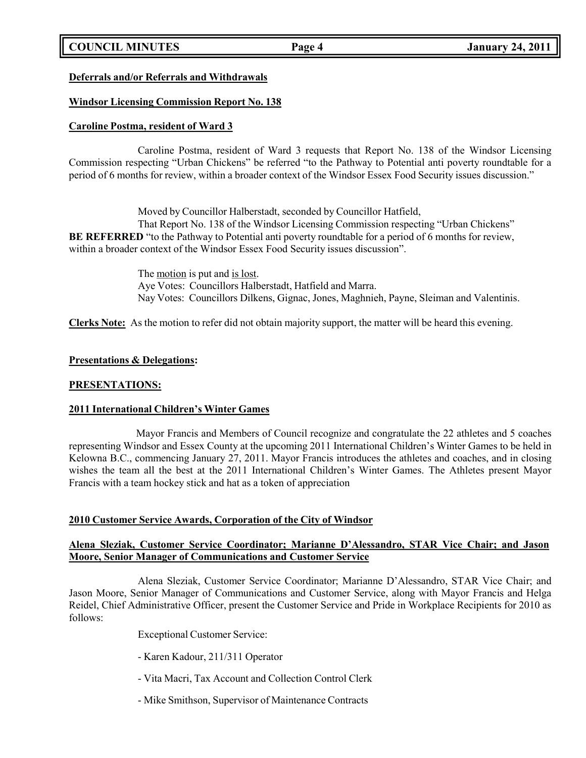# **COUNCIL MINUTES Page 4 January 24, 2011**

### **Deferrals and/or Referrals and Withdrawals**

### **Windsor Licensing Commission Report No. 138**

### **Caroline Postma, resident of Ward 3**

Caroline Postma, resident of Ward 3 requests that Report No. 138 of the Windsor Licensing Commission respecting "Urban Chickens" be referred "to the Pathway to Potential anti poverty roundtable for a period of 6 months for review, within a broader context of the Windsor Essex Food Security issues discussion."

Moved by Councillor Halberstadt, seconded by Councillor Hatfield, That Report No. 138 of the Windsor Licensing Commission respecting "Urban Chickens" **BE REFERRED** "to the Pathway to Potential anti poverty roundtable for a period of 6 months for review, within a broader context of the Windsor Essex Food Security issues discussion".

> The motion is put and is lost. Aye Votes: Councillors Halberstadt, Hatfield and Marra. Nay Votes: Councillors Dilkens, Gignac, Jones, Maghnieh, Payne, Sleiman and Valentinis.

**Clerks Note:** As the motion to refer did not obtain majority support, the matter will be heard this evening.

### **Presentations & Delegations:**

#### **PRESENTATIONS:**

### **2011 International Children's Winter Games**

Mayor Francis and Members of Council recognize and congratulate the 22 athletes and 5 coaches representing Windsor and Essex County at the upcoming 2011 International Children's Winter Games to be held in Kelowna B.C., commencing January 27, 2011. Mayor Francis introduces the athletes and coaches, and in closing wishes the team all the best at the 2011 International Children's Winter Games. The Athletes present Mayor Francis with a team hockey stick and hat as a token of appreciation

### **2010 Customer Service Awards, Corporation of the City of Windsor**

### **Alena Sleziak, Customer Service Coordinator; Marianne D'Alessandro, STAR Vice Chair; and Jason Moore, Senior Manager of Communications and Customer Service**

Alena Sleziak, Customer Service Coordinator; Marianne D'Alessandro, STAR Vice Chair; and Jason Moore, Senior Manager of Communications and Customer Service, along with Mayor Francis and Helga Reidel, Chief Administrative Officer, present the Customer Service and Pride in Workplace Recipients for 2010 as follows:

Exceptional Customer Service:

- Karen Kadour, 211/311 Operator
- Vita Macri, Tax Account and Collection Control Clerk
- Mike Smithson, Supervisor of Maintenance Contracts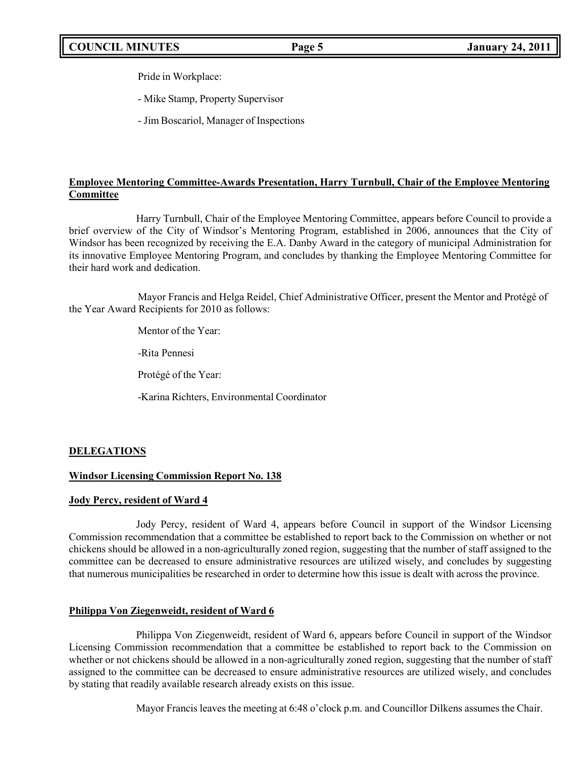Pride in Workplace:

- Mike Stamp, Property Supervisor

- Jim Boscariol, Manager of Inspections

# **Employee Mentoring Committee-Awards Presentation, Harry Turnbull, Chair of the Employee Mentoring Committee**

Harry Turnbull, Chair of the Employee Mentoring Committee, appears before Council to provide a brief overview of the City of Windsor's Mentoring Program, established in 2006, announces that the City of Windsor has been recognized by receiving the E.A. Danby Award in the category of municipal Administration for its innovative Employee Mentoring Program, and concludes by thanking the Employee Mentoring Committee for their hard work and dedication.

Mayor Francis and Helga Reidel, Chief Administrative Officer, present the Mentor and Protégé of the Year Award Recipients for 2010 as follows:

Mentor of the Year:

-Rita Pennesi

Protégé of the Year:

-Karina Richters, Environmental Coordinator

# **DELEGATIONS**

### **Windsor Licensing Commission Report No. 138**

### **Jody Percy, resident of Ward 4**

Jody Percy, resident of Ward 4, appears before Council in support of the Windsor Licensing Commission recommendation that a committee be established to report back to the Commission on whether or not chickens should be allowed in a non-agriculturally zoned region, suggesting that the number of staff assigned to the committee can be decreased to ensure administrative resources are utilized wisely, and concludes by suggesting that numerous municipalities be researched in order to determine how this issue is dealt with across the province.

### **Philippa Von Ziegenweidt, resident of Ward 6**

Philippa Von Ziegenweidt, resident of Ward 6, appears before Council in support of the Windsor Licensing Commission recommendation that a committee be established to report back to the Commission on whether or not chickens should be allowed in a non-agriculturally zoned region, suggesting that the number of staff assigned to the committee can be decreased to ensure administrative resources are utilized wisely, and concludes by stating that readily available research already exists on this issue.

Mayor Francis leaves the meeting at 6:48 o'clock p.m. and Councillor Dilkens assumes the Chair.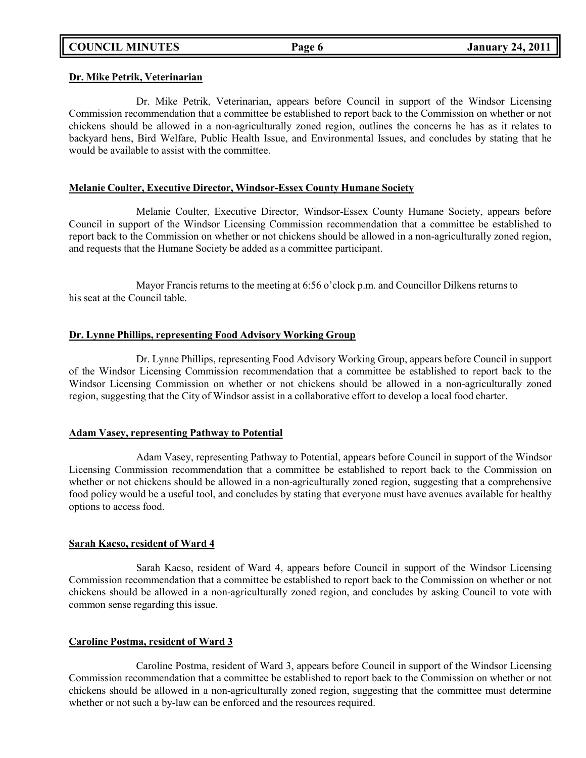#### **Dr. Mike Petrik, Veterinarian**

Dr. Mike Petrik, Veterinarian, appears before Council in support of the Windsor Licensing Commission recommendation that a committee be established to report back to the Commission on whether or not chickens should be allowed in a non-agriculturally zoned region, outlines the concerns he has as it relates to backyard hens, Bird Welfare, Public Health Issue, and Environmental Issues, and concludes by stating that he would be available to assist with the committee.

#### **Melanie Coulter, Executive Director, Windsor-Essex County Humane Society**

Melanie Coulter, Executive Director, Windsor-Essex County Humane Society, appears before Council in support of the Windsor Licensing Commission recommendation that a committee be established to report back to the Commission on whether or not chickens should be allowed in a non-agriculturally zoned region, and requests that the Humane Society be added as a committee participant.

Mayor Francis returns to the meeting at 6:56 o'clock p.m. and Councillor Dilkens returns to his seat at the Council table.

### **Dr. Lynne Phillips, representing Food Advisory Working Group**

Dr. Lynne Phillips, representing Food Advisory Working Group, appears before Council in support of the Windsor Licensing Commission recommendation that a committee be established to report back to the Windsor Licensing Commission on whether or not chickens should be allowed in a non-agriculturally zoned region, suggesting that the City of Windsor assist in a collaborative effort to develop a local food charter.

#### **Adam Vasey, representing Pathway to Potential**

Adam Vasey, representing Pathway to Potential, appears before Council in support of the Windsor Licensing Commission recommendation that a committee be established to report back to the Commission on whether or not chickens should be allowed in a non-agriculturally zoned region, suggesting that a comprehensive food policy would be a useful tool, and concludes by stating that everyone must have avenues available for healthy options to access food.

#### **Sarah Kacso, resident of Ward 4**

Sarah Kacso, resident of Ward 4, appears before Council in support of the Windsor Licensing Commission recommendation that a committee be established to report back to the Commission on whether or not chickens should be allowed in a non-agriculturally zoned region, and concludes by asking Council to vote with common sense regarding this issue.

### **Caroline Postma, resident of Ward 3**

Caroline Postma, resident of Ward 3, appears before Council in support of the Windsor Licensing Commission recommendation that a committee be established to report back to the Commission on whether or not chickens should be allowed in a non-agriculturally zoned region, suggesting that the committee must determine whether or not such a by-law can be enforced and the resources required.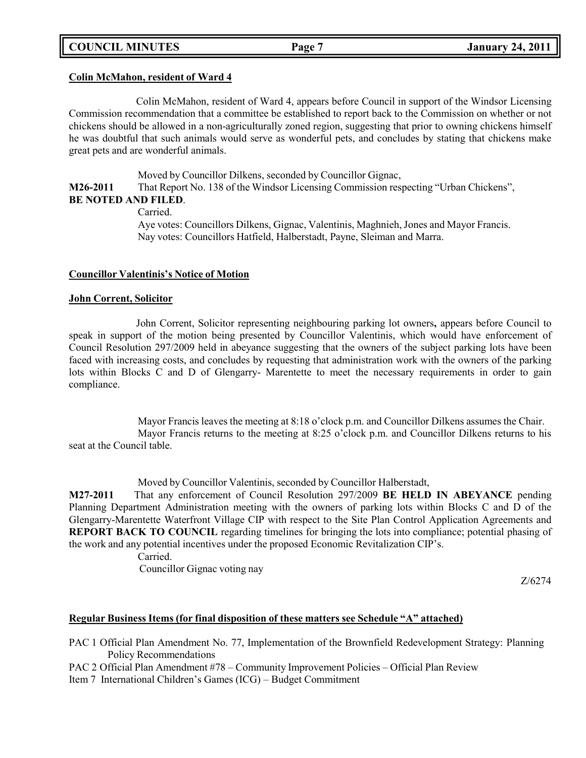# **COUNCIL MINUTES Page 7 January 24, 2011**

#### **Colin McMahon, resident of Ward 4**

Colin McMahon, resident of Ward 4, appears before Council in support of the Windsor Licensing Commission recommendation that a committee be established to report back to the Commission on whether or not chickens should be allowed in a non-agriculturally zoned region, suggesting that prior to owning chickens himself he was doubtful that such animals would serve as wonderful pets, and concludes by stating that chickens make great pets and are wonderful animals.

Moved by Councillor Dilkens, seconded by Councillor Gignac,

**M26-2011** That Report No. 138 of the Windsor Licensing Commission respecting "Urban Chickens", **BE NOTED AND FILED**.

Carried.

Aye votes: Councillors Dilkens, Gignac, Valentinis, Maghnieh,Jones and Mayor Francis. Nay votes: Councillors Hatfield, Halberstadt, Payne, Sleiman and Marra.

#### **Councillor Valentinis's Notice of Motion**

#### **John Corrent, Solicitor**

John Corrent, Solicitor representing neighbouring parking lot owners**,** appears before Council to speak in support of the motion being presented by Councillor Valentinis, which would have enforcement of Council Resolution 297/2009 held in abeyance suggesting that the owners of the subject parking lots have been faced with increasing costs, and concludes by requesting that administration work with the owners of the parking lots within Blocks C and D of Glengarry- Marentette to meet the necessary requirements in order to gain compliance.

Mayor Francis leaves the meeting at 8:18 o'clock p.m. and Councillor Dilkens assumes the Chair. Mayor Francis returns to the meeting at 8:25 o'clock p.m. and Councillor Dilkens returns to his seat at the Council table.

Moved by Councillor Valentinis, seconded by Councillor Halberstadt,

**M27-2011** That any enforcement of Council Resolution 297/2009 **BE HELD IN ABEYANCE** pending Planning Department Administration meeting with the owners of parking lots within Blocks C and D of the Glengarry-Marentette Waterfront Village CIP with respect to the Site Plan Control Application Agreements and **REPORT BACK TO COUNCIL** regarding timelines for bringing the lots into compliance; potential phasing of the work and any potential incentives under the proposed Economic Revitalization CIP's.

Carried.

Councillor Gignac voting nay

Z/6274

### **Regular Business Items (for final disposition of these matters see Schedule "A" attached)**

PAC 1 Official Plan Amendment No. 77, Implementation of the Brownfield Redevelopment Strategy: Planning Policy Recommendations

PAC 2 Official Plan Amendment #78 – Community Improvement Policies – Official Plan Review

Item 7 International Children's Games (ICG) – Budget Commitment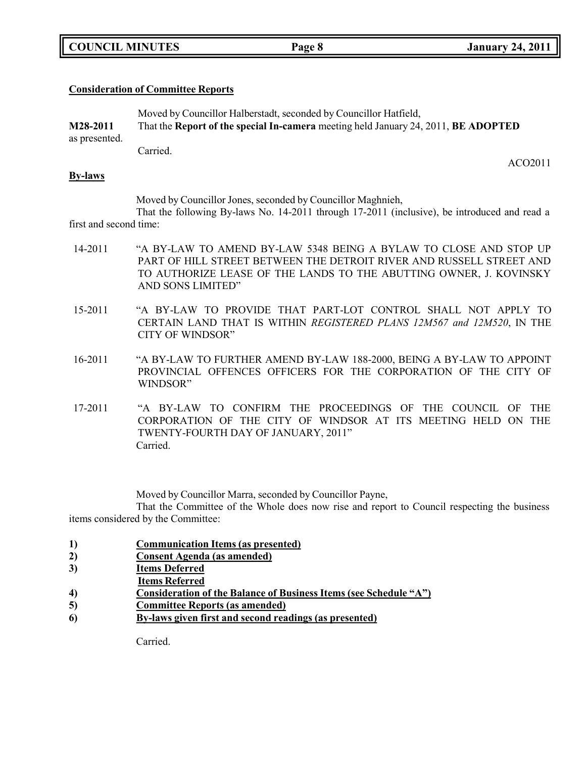|  | <b>COUNCIL MINUTES</b> |
|--|------------------------|
|--|------------------------|

ACO2011

### **Consideration of Committee Reports**

|               | Moved by Councillor Halberstadt, seconded by Councillor Hatfield,                  |
|---------------|------------------------------------------------------------------------------------|
| M28-2011      | That the Report of the special In-camera meeting held January 24, 2011, BE ADOPTED |
| as presented. |                                                                                    |
|               | Carried.                                                                           |

**By-laws**

Moved by Councillor Jones, seconded by Councillor Maghnieh,

That the following By-laws No. 14-2011 through 17-2011 (inclusive), be introduced and read a first and second time:

- 14-2011 "A BY-LAW TO AMEND BY-LAW 5348 BEING A BYLAW TO CLOSE AND STOP UP PART OF HILL STREET BETWEEN THE DETROIT RIVER AND RUSSELL STREET AND TO AUTHORIZE LEASE OF THE LANDS TO THE ABUTTING OWNER, J. KOVINSKY AND SONS LIMITED"
- 15-2011 "A BY-LAW TO PROVIDE THAT PART-LOT CONTROL SHALL NOT APPLY TO CERTAIN LAND THAT IS WITHIN *REGISTERED PLANS 12M567 and 12M520*, IN THE CITY OF WINDSOR"
- 16-2011 "A BY-LAW TO FURTHER AMEND BY-LAW 188-2000, BEING A BY-LAW TO APPOINT PROVINCIAL OFFENCES OFFICERS FOR THE CORPORATION OF THE CITY OF WINDSOR"
- 17-2011 "A BY-LAW TO CONFIRM THE PROCEEDINGS OF THE COUNCIL OF THE CORPORATION OF THE CITY OF WINDSOR AT ITS MEETING HELD ON THE TWENTY-FOURTH DAY OF JANUARY, 2011" Carried.

Moved by Councillor Marra, seconded by Councillor Payne,

That the Committee of the Whole does now rise and report to Council respecting the business items considered by the Committee:

- **1) Communication Items (as presented)**
- **2) Consent Agenda (as amended)**
- **3) Items Deferred**
- **Items Referred**
- **4) Consideration of the Balance of Business Items (see Schedule "A")**
- **5) Committee Reports (as amended)**
- **6) By-laws given first and second readings (as presented)**

Carried.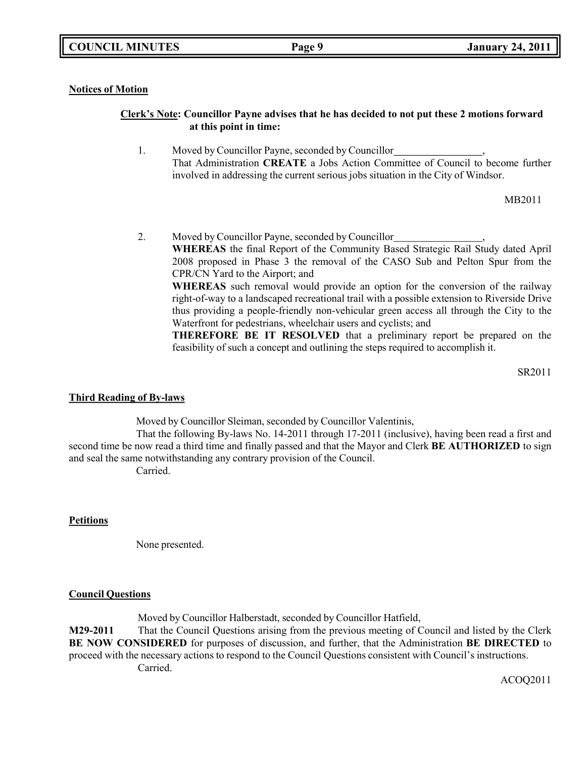### **Notices of Motion**

### **Clerk's Note: Councillor Payne advises that he has decided to not put these 2 motions forward at this point in time:**

1. Moved by Councillor Payne, seconded by Councillor , That Administration **CREATE** a Jobs Action Committee of Council to become further involved in addressing the current serious jobs situation in the City of Windsor.

MB2011

2. Moved by Councillor Payne, seconded by Councillor , **WHEREAS** the final Report of the Community Based Strategic Rail Study dated April 2008 proposed in Phase 3 the removal of the CASO Sub and Pelton Spur from the CPR/CN Yard to the Airport; and **WHEREAS** such removal would provide an option for the conversion of the railway right-of-way to a landscaped recreational trail with a possible extension to Riverside Drive thus providing a people-friendly non-vehicular green access all through the City to the Waterfront for pedestrians, wheelchair users and cyclists; and

**THEREFORE BE IT RESOLVED** that a preliminary report be prepared on the feasibility of such a concept and outlining the steps required to accomplish it.

SR2011

### **Third Reading of By-laws**

Moved by Councillor Sleiman, seconded by Councillor Valentinis,

That the following By-laws No. 14-2011 through 17-2011 (inclusive), having been read a first and second time be now read a third time and finally passed and that the Mayor and Clerk **BE AUTHORIZED** to sign and seal the same notwithstanding any contrary provision of the Council.

Carried.

### **Petitions**

None presented.

### **Council Questions**

Moved by Councillor Halberstadt, seconded by Councillor Hatfield, **M29-2011** That the Council Questions arising from the previous meeting of Council and listed by the Clerk **BE NOW CONSIDERED** for purposes of discussion, and further, that the Administration **BE DIRECTED** to proceed with the necessary actions to respond to the Council Questions consistent with Council's instructions. Carried.

ACOQ2011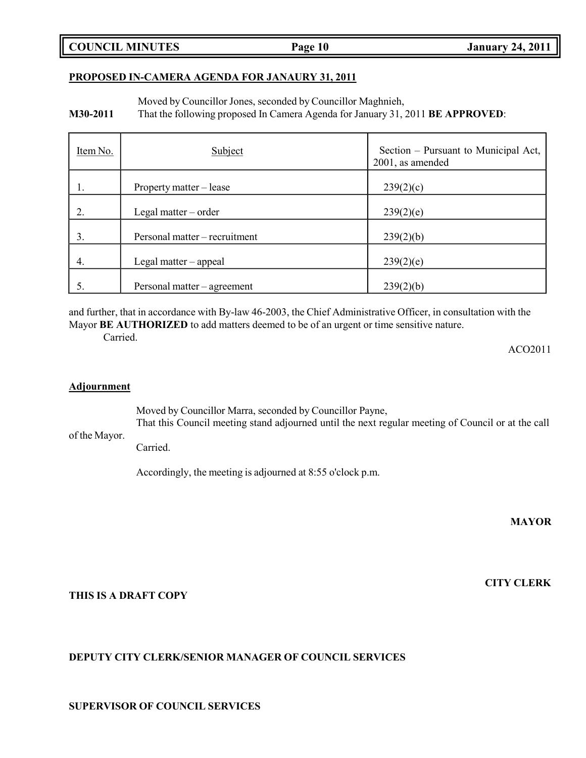**COUNCIL MINUTES Page 10 January 24, 2011**

#### **PROPOSED IN-CAMERA AGENDA FOR JANAURY 31, 2011**

Moved by Councillor Jones, seconded by Councillor Maghnieh,

**M30-2011** That the following proposed In Camera Agenda for January 31, 2011 **BE APPROVED**:

| Item No. | Subject                       | Section – Pursuant to Municipal Act,<br>2001, as amended |
|----------|-------------------------------|----------------------------------------------------------|
|          | Property matter – lease       | 239(2)(c)                                                |
| 2.       | Legal matter $-$ order        | 239(2)(e)                                                |
| 3.       | Personal matter – recruitment | 239(2)(b)                                                |
| 4.       | Legal matter $-$ appeal       | 239(2)(e)                                                |
|          | Personal matter – agreement   | 239(2)(b)                                                |

and further, that in accordance with By-law 46-2003, the Chief Administrative Officer, in consultation with the Mayor **BE AUTHORIZED** to add matters deemed to be of an urgent or time sensitive nature.

Carried.

ACO2011

#### **Adjournment**

Moved by Councillor Marra, seconded by Councillor Payne,

of the Mayor. That this Council meeting stand adjourned until the next regular meeting of Council or at the call

Carried.

Accordingly, the meeting is adjourned at 8:55 o'clock p.m.

**MAYOR**

**CITY CLERK**

### **THIS IS A DRAFT COPY**

### **DEPUTY CITY CLERK/SENIOR MANAGER OF COUNCIL SERVICES**

**SUPERVISOR OF COUNCIL SERVICES**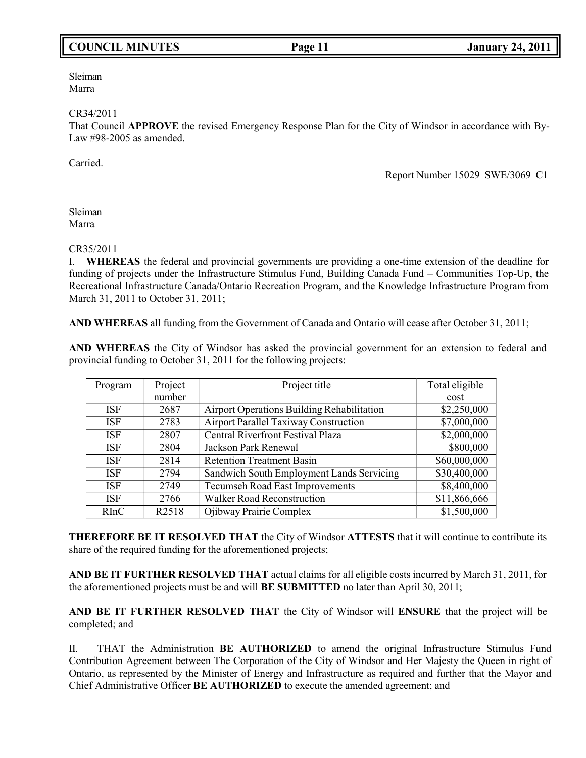# **COUNCIL MINUTES Page 11 January 24, 2011**

Sleiman Marra

#### CR34/2011

That Council **APPROVE** the revised Emergency Response Plan for the City of Windsor in accordance with By-Law #98-2005 as amended.

Carried.

Report Number 15029 SWE/3069 C1

Sleiman Marra

#### CR35/2011

I. **WHEREAS** the federal and provincial governments are providing a one-time extension of the deadline for funding of projects under the Infrastructure Stimulus Fund, Building Canada Fund – Communities Top-Up, the Recreational Infrastructure Canada/Ontario Recreation Program, and the Knowledge Infrastructure Program from March 31, 2011 to October 31, 2011;

**AND WHEREAS** all funding from the Government of Canada and Ontario will cease after October 31, 2011;

**AND WHEREAS** the City of Windsor has asked the provincial government for an extension to federal and provincial funding to October 31, 2011 for the following projects:

| Program    | Project           | Project title                                | Total eligible |
|------------|-------------------|----------------------------------------------|----------------|
|            | number            |                                              | cost           |
| <b>ISF</b> | 2687              | Airport Operations Building Rehabilitation   | \$2,250,000    |
| <b>ISF</b> | 2783              | <b>Airport Parallel Taxiway Construction</b> | \$7,000,000    |
| <b>ISF</b> | 2807              | <b>Central Riverfront Festival Plaza</b>     | \$2,000,000    |
| <b>ISF</b> | 2804              | Jackson Park Renewal                         | \$800,000      |
| <b>ISF</b> | 2814              | <b>Retention Treatment Basin</b>             | \$60,000,000   |
| <b>ISF</b> | 2794              | Sandwich South Employment Lands Servicing    | \$30,400,000   |
| <b>ISF</b> | 2749              | Tecumseh Road East Improvements              | \$8,400,000    |
| <b>ISF</b> | 2766              | <b>Walker Road Reconstruction</b>            | \$11,866,666   |
| RInC       | R <sub>2518</sub> | Ojibway Prairie Complex                      | \$1,500,000    |

**THEREFORE BE IT RESOLVED THAT** the City of Windsor **ATTESTS** that it will continue to contribute its share of the required funding for the aforementioned projects;

**AND BE IT FURTHER RESOLVED THAT** actual claims for all eligible costs incurred by March 31, 2011, for the aforementioned projects must be and will **BE SUBMITTED** no later than April 30, 2011;

**AND BE IT FURTHER RESOLVED THAT** the City of Windsor will **ENSURE** that the project will be completed; and

II. THAT the Administration **BE AUTHORIZED** to amend the original Infrastructure Stimulus Fund Contribution Agreement between The Corporation of the City of Windsor and Her Majesty the Queen in right of Ontario, as represented by the Minister of Energy and Infrastructure as required and further that the Mayor and Chief Administrative Officer **BE AUTHORIZED** to execute the amended agreement; and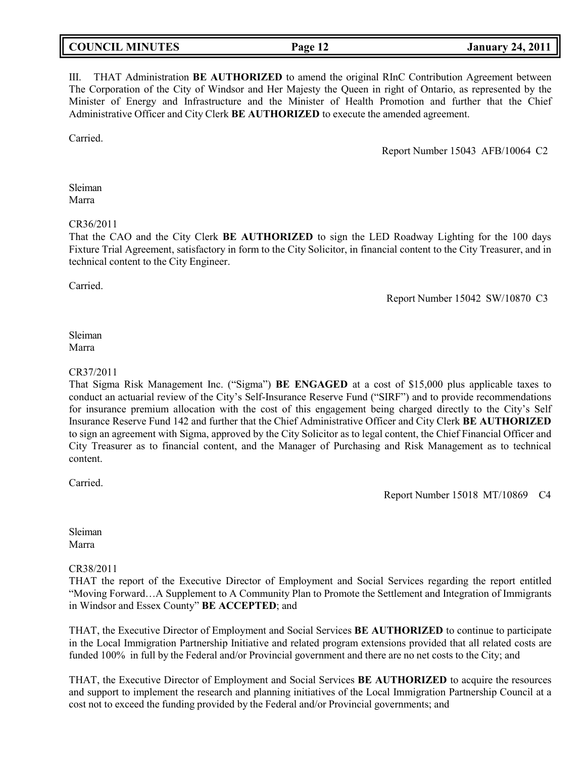| <b>COUNCIL MINUTES</b> | Page 12 | <b>January 24, 2011</b> |
|------------------------|---------|-------------------------|
|                        |         |                         |

III. THAT Administration **BE AUTHORIZED** to amend the original RInC Contribution Agreement between The Corporation of the City of Windsor and Her Majesty the Queen in right of Ontario, as represented by the Minister of Energy and Infrastructure and the Minister of Health Promotion and further that the Chief Administrative Officer and City Clerk **BE AUTHORIZED** to execute the amended agreement.

Carried.

Report Number 15043 AFB/10064 C2

Sleiman Marra

CR36/2011

That the CAO and the City Clerk **BE AUTHORIZED** to sign the LED Roadway Lighting for the 100 days Fixture Trial Agreement, satisfactory in form to the City Solicitor, in financial content to the City Treasurer, and in technical content to the City Engineer.

Carried.

Report Number 15042 SW/10870 C3

### Sleiman Marra

### CR37/2011

That Sigma Risk Management Inc. ("Sigma") **BE ENGAGED** at a cost of \$15,000 plus applicable taxes to conduct an actuarial review of the City's Self-Insurance Reserve Fund ("SIRF") and to provide recommendations for insurance premium allocation with the cost of this engagement being charged directly to the City's Self Insurance Reserve Fund 142 and further that the Chief Administrative Officer and City Clerk **BE AUTHORIZED** to sign an agreement with Sigma, approved by the City Solicitor as to legal content, the Chief Financial Officer and City Treasurer as to financial content, and the Manager of Purchasing and Risk Management as to technical content.

Carried.

Report Number 15018 MT/10869 C4

Sleiman Marra

### CR38/2011

THAT the report of the Executive Director of Employment and Social Services regarding the report entitled "Moving Forward…A Supplement to A Community Plan to Promote the Settlement and Integration of Immigrants in Windsor and Essex County" **BE ACCEPTED**; and

THAT, the Executive Director of Employment and Social Services **BE AUTHORIZED** to continue to participate in the Local Immigration Partnership Initiative and related program extensions provided that all related costs are funded 100% in full by the Federal and/or Provincial government and there are no net costs to the City; and

THAT, the Executive Director of Employment and Social Services **BE AUTHORIZED** to acquire the resources and support to implement the research and planning initiatives of the Local Immigration Partnership Council at a cost not to exceed the funding provided by the Federal and/or Provincial governments; and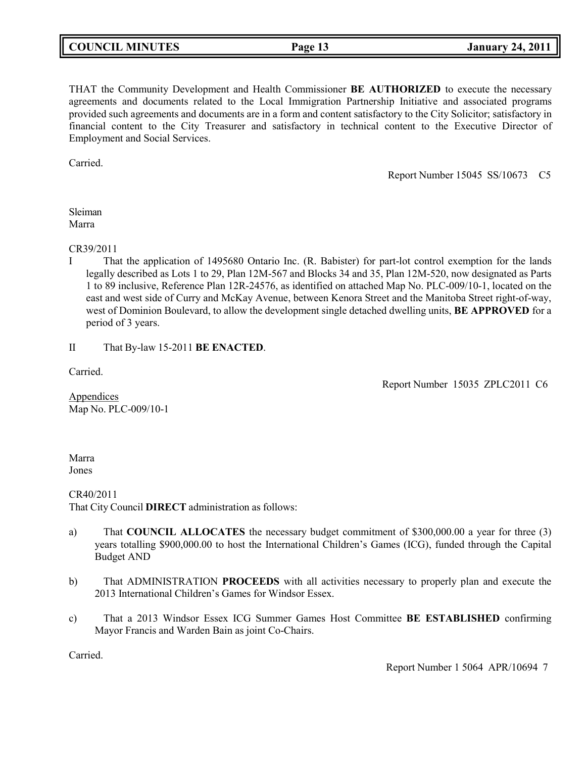# **COUNCIL MINUTES Page 13 January 24, 2011**

THAT the Community Development and Health Commissioner **BE AUTHORIZED** to execute the necessary agreements and documents related to the Local Immigration Partnership Initiative and associated programs provided such agreements and documents are in a form and content satisfactory to the City Solicitor; satisfactory in financial content to the City Treasurer and satisfactory in technical content to the Executive Director of Employment and Social Services.

Carried.

Report Number 15045 SS/10673 C5

### Sleiman Marra

CR39/2011

I That the application of 1495680 Ontario Inc. (R. Babister) for part-lot control exemption for the lands legally described as Lots 1 to 29, Plan 12M-567 and Blocks 34 and 35, Plan 12M-520, now designated as Parts 1 to 89 inclusive, Reference Plan 12R-24576, as identified on attached Map No. PLC-009/10-1, located on the east and west side of Curry and McKay Avenue, between Kenora Street and the Manitoba Street right-of-way, west of Dominion Boulevard, to allow the development single detached dwelling units, **BE APPROVED** for a period of 3 years.

II That By-law 15-2011 **BE ENACTED**.

Carried.

Report Number 15035 ZPLC2011 C6

Appendices Map No. PLC-009/10-1

Marra Jones

CR40/2011 That City Council **DIRECT** administration as follows:

- a) That **COUNCIL ALLOCATES** the necessary budget commitment of \$300,000.00 a year for three (3) years totalling \$900,000.00 to host the International Children's Games (ICG), funded through the Capital Budget AND
- b) That ADMINISTRATION **PROCEEDS** with all activities necessary to properly plan and execute the 2013 International Children's Games for Windsor Essex.
- c) That a 2013 Windsor Essex ICG Summer Games Host Committee **BE ESTABLISHED** confirming Mayor Francis and Warden Bain as joint Co-Chairs.

Carried.

Report Number 1 5064 APR/10694 7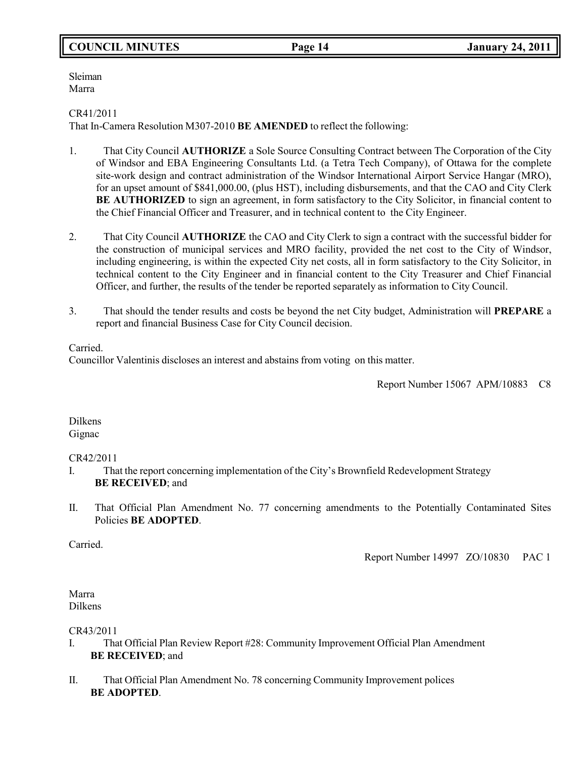# **COUNCIL MINUTES Page 14 January 24, 2011**

Sleiman Marra

# CR41/2011

That In-Camera Resolution M307-2010 **BE AMENDED** to reflect the following:

- 1. That City Council **AUTHORIZE** a Sole Source Consulting Contract between The Corporation of the City of Windsor and EBA Engineering Consultants Ltd. (a Tetra Tech Company), of Ottawa for the complete site-work design and contract administration of the Windsor International Airport Service Hangar (MRO), for an upset amount of \$841,000.00, (plus HST), including disbursements, and that the CAO and City Clerk **BE AUTHORIZED** to sign an agreement, in form satisfactory to the City Solicitor, in financial content to the Chief Financial Officer and Treasurer, and in technical content to the City Engineer.
- 2. That City Council **AUTHORIZE** the CAO and City Clerk to sign a contract with the successful bidder for the construction of municipal services and MRO facility, provided the net cost to the City of Windsor, including engineering, is within the expected City net costs, all in form satisfactory to the City Solicitor, in technical content to the City Engineer and in financial content to the City Treasurer and Chief Financial Officer, and further, the results of the tender be reported separately as information to City Council.
- 3. That should the tender results and costs be beyond the net City budget, Administration will **PREPARE** a report and financial Business Case for City Council decision.

Carried.

Councillor Valentinis discloses an interest and abstains from voting on this matter.

Report Number 15067 APM/10883 C8

Dilkens Gignac

### CR42/2011

- I. That the report concerning implementation of the City's Brownfield Redevelopment Strategy **BE RECEIVED**; and
- II. That Official Plan Amendment No. 77 concerning amendments to the Potentially Contaminated Sites Policies **BE ADOPTED**.

Carried.

Report Number 14997 ZO/10830 PAC 1

Marra Dilkens

### CR43/2011

- I. That Official Plan Review Report #28: Community Improvement Official Plan Amendment **BE RECEIVED**; and
- II. That Official Plan Amendment No. 78 concerning Community Improvement polices **BE ADOPTED**.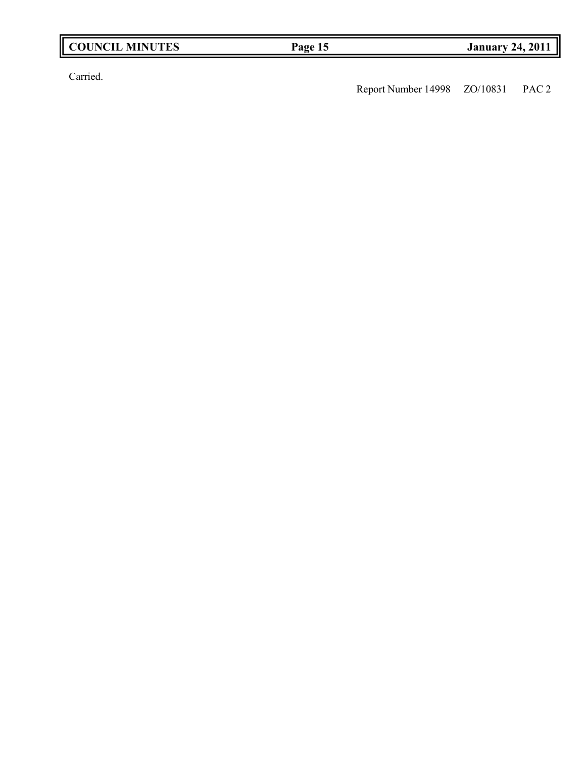| <b>COUNCIL MINUTES</b> |  |
|------------------------|--|
|------------------------|--|

Carried.

Report Number 14998 ZO/10831 PAC 2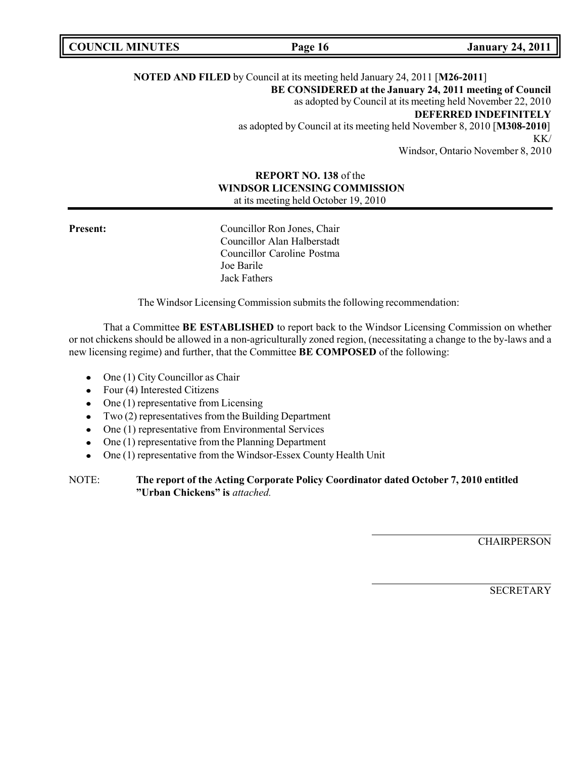|  | <b>COUNCIL MINUTES</b> |
|--|------------------------|
|--|------------------------|

**COUNCIL EXECUTE: COUNCIL EXECUTE: COUNCIL COUNCIL COUNCIL COUNCIL COUNCIL COUNCIL COUNCIL COUNCIL COUNCIL** 

# **NOTED AND FILED** by Council at its meeting held January 24, 2011 [**M26-2011**] **BE CONSIDERED at the January 24, 2011 meeting of Council** as adopted by Council at its meeting held November 22, 2010 **DEFERRED INDEFINITELY** as adopted by Council at its meeting held November 8, 2010 [**M308-2010**] KK/ Windsor, Ontario November 8, 2010

# **REPORT NO. 138** of the **WINDSOR LICENSING COMMISSION** at its meeting held October 19, 2010

**Present:** Councillor Ron Jones, Chair Councillor Alan Halberstadt Councillor Caroline Postma Joe Barile Jack Fathers

The Windsor Licensing Commission submits the following recommendation:

That a Committee **BE ESTABLISHED** to report back to the Windsor Licensing Commission on whether or not chickens should be allowed in a non-agriculturally zoned region, (necessitating a change to the by-laws and a new licensing regime) and further, that the Committee **BE COMPOSED** of the following:

- One (1) City Councillor as Chair
- Four (4) Interested Citizens
- $\bullet$  One (1) representative from Licensing
- $\bullet$  Two (2) representatives from the Building Department
- One (1) representative from Environmental Services
- One (1) representative from the Planning Department
- One (1) representative from the Windsor-Essex County Health Unit

**CHAIRPERSON** 

**SECRETARY** 

NOTE: **The report of the Acting Corporate Policy Coordinator dated October 7, 2010 entitled "Urban Chickens" is** *attached.*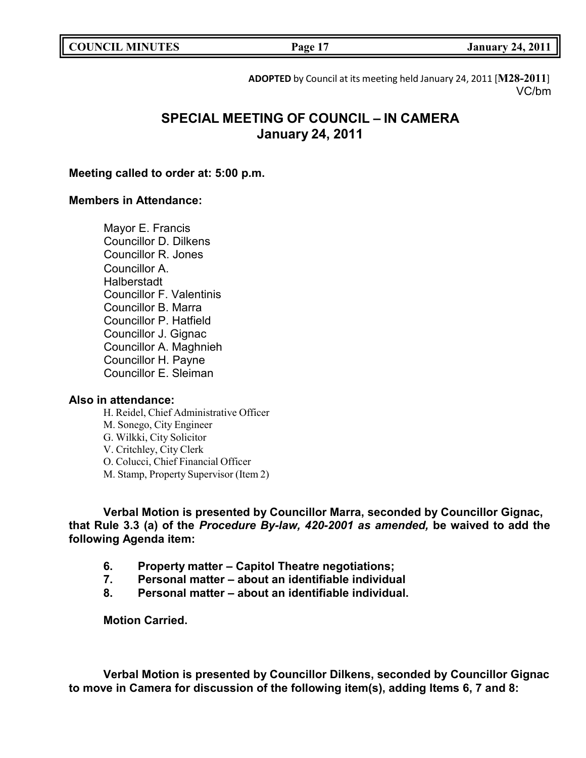|  | <b>COUNCIL MINUTES</b> |
|--|------------------------|
|--|------------------------|

**COUNCIL EXECUTE: COUNCIL EXECUTE: COUNCIL COUNCIL COUNCIL COUNCIL COUNCIL COUNCIL COUNCIL COUNCIL COUNCIL** 

**ADOPTED** by Council at its meeting held January 24, 2011 [**M28-2011**] VC/bm

# **SPECIAL MEETING OF COUNCIL – IN CAMERA January 24, 2011**

# **Meeting called to order at: 5:00 p.m.**

### **Members in Attendance:**

Mayor E. Francis Councillor D. Dilkens Councillor R. Jones Councillor A. **Halberstadt** Councillor F. Valentinis Councillor B. Marra Councillor P. Hatfield Councillor J. Gignac Councillor A. Maghnieh Councillor H. Payne Councillor E. Sleiman

# **Also in attendance:**

H. Reidel, Chief Administrative Officer M. Sonego, City Engineer G. Wilkki, City Solicitor V. Critchley, City Clerk O. Colucci, Chief Financial Officer M. Stamp, Property Supervisor (Item 2)

**Verbal Motion is presented by Councillor Marra, seconded by Councillor Gignac, that Rule 3.3 (a) of the** *Procedure By-law, 420-2001 as amended,* **be waived to add the following Agenda item:**

- **6. Property matter – Capitol Theatre negotiations;**
- **7. Personal matter – about an identifiable individual**
- **8. Personal matter – about an identifiable individual.**

**Motion Carried.**

**Verbal Motion is presented by Councillor Dilkens, seconded by Councillor Gignac to move in Camera for discussion of the following item(s), adding Items 6, 7 and 8:**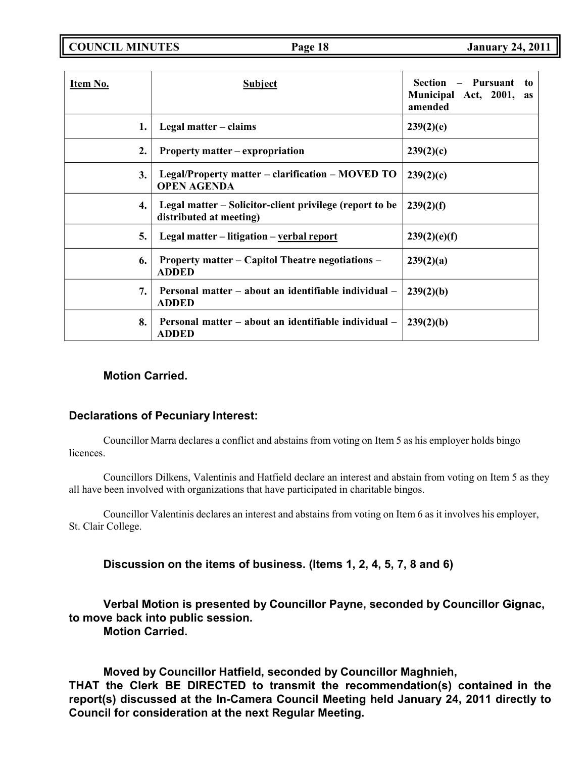**COUNCIL MINUTES Page 18 January 24, 2011**

| Item No.       | <b>Subject</b>                                                                     | Pursuant<br><b>Section</b><br>to<br>Municipal Act, 2001,<br>as<br>amended |
|----------------|------------------------------------------------------------------------------------|---------------------------------------------------------------------------|
| 1.             | Legal matter – claims                                                              | 239(2)(e)                                                                 |
| $\mathbf{2}$ . | Property matter – expropriation                                                    | 239(2)(c)                                                                 |
| 3.             | Legal/Property matter – clarification – MOVED TO<br><b>OPEN AGENDA</b>             | 239(2)(c)                                                                 |
| 4.             | Legal matter – Solicitor-client privilege (report to be<br>distributed at meeting) | 239(2)(f)                                                                 |
| 5.             | Legal matter – litigation – verbal report                                          | 239(2)(e)(f)                                                              |
| 6.             | <b>Property matter – Capitol Theatre negotiations –</b><br><b>ADDED</b>            | 239(2)(a)                                                                 |
| 7.             | Personal matter – about an identifiable individual –<br><b>ADDED</b>               | 239(2)(b)                                                                 |
| 8.             | Personal matter – about an identifiable individual –<br><b>ADDED</b>               | 239(2)(b)                                                                 |

# **Motion Carried.**

# **Declarations of Pecuniary Interest:**

Councillor Marra declares a conflict and abstains from voting on Item 5 as his employer holds bingo licences.

Councillors Dilkens, Valentinis and Hatfield declare an interest and abstain from voting on Item 5 as they all have been involved with organizations that have participated in charitable bingos.

Councillor Valentinis declares an interest and abstains from voting on Item 6 as it involves his employer, St. Clair College.

**Discussion on the items of business. (Items 1, 2, 4, 5, 7, 8 and 6)**

**Verbal Motion is presented by Councillor Payne, seconded by Councillor Gignac, to move back into public session.**

**Motion Carried.**

**Moved by Councillor Hatfield, seconded by Councillor Maghnieh, THAT the Clerk BE DIRECTED to transmit the recommendation(s) contained in the report(s) discussed at the In-Camera Council Meeting held January 24, 2011 directly to Council for consideration at the next Regular Meeting.**